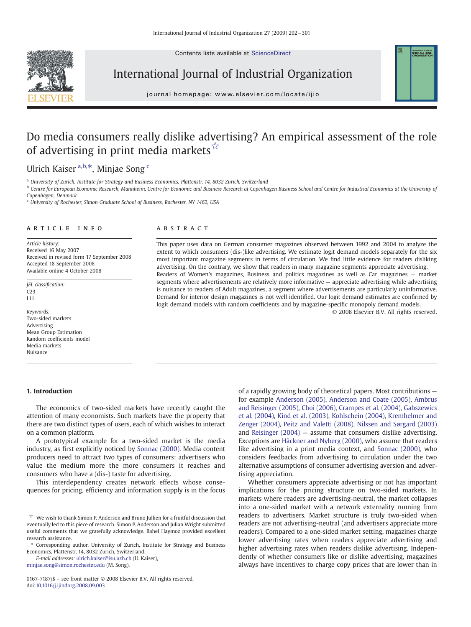Contents lists available at ScienceDirect



International Journal of Industrial Organization

journal homepage: www.elsevier.com/locate/ijio

## Do media consumers really dislike advertising? An empirical assessment of the role of advertising in print media markets $\vec{r}$

## Ulrich Kaiser<sup>a,b,\*</sup>, Minjae Song<sup>c</sup>

a University of Zurich, Institute for Strategy and Business Economics, Plattenstr. 14, 8032 Zurich, Switzerland

<sup>b</sup> Centre for European Economic Research, Mannheim, Centre for Economic and Business Research at Copenhagen Business School and Centre for Industrial Economics at the University of Copenhagen, Denmark

<sup>c</sup> University of Rochester, Simon Graduate School of Business, Rochester, NY 1462, USA

### article info abstract

Article history: Received 16 May 2007 Received in revised form 17 September 2008 Accepted 18 September 2008 Available online 4 October 2008

JEL classification: C23 L11

Keywords: Two-sided markets Advertising Mean Group Estimation Random coefficients model Media markets Nuisance

### 1. Introduction

The economics of two-sided markets have recently caught the attention of many economists. Such markets have the property that there are two distinct types of users, each of which wishes to interact on a common platform.

A prototypical example for a two-sided market is the media industry, as first explicitly noticed by [Sonnac \(2000\).](#page--1-0) Media content producers need to attract two types of consumers: advertisers who value the medium more the more consumers it reaches and consumers who have a (dis-) taste for advertising.

This interdependency creates network effects whose consequences for pricing, efficiency and information supply is in the focus

E-mail addresses: [ulrich.kaiser@isu.uzh.ch](mailto:ulrich.kaiser@isu.uzh.ch) (U. Kaiser),

[minjae.song@simon.rochester.edu](mailto:minjae.song@simon.rochester.edu) (M. Song).

This paper uses data on German consumer magazines observed between 1992 and 2004 to analyze the extent to which consumers (dis-)like advertising. We estimate logit demand models separately for the six most important magazine segments in terms of circulation. We find little evidence for readers disliking advertising. On the contrary, we show that readers in many magazine segments appreciate advertising. Readers of Women's magazines, Business and politics magazines as well as Car magazines — market segments where advertisements are relatively more informative — appreciate advertising while advertising is nuisance to readers of Adult magazines, a segment where advertisements are particularly uninformative. Demand for interior design magazines is not well identified. Our logit demand estimates are confirmed by logit demand models with random coefficients and by magazine-specific monopoly demand models.

© 2008 Elsevier B.V. All rights reserved.

**INDUSTRIAL** 

of a rapidly growing body of theoretical papers. Most contributions for example [Anderson \(2005\),](#page--1-0) [Anderson and Coate \(2005\)](#page--1-0), [Ambrus](#page--1-0) [and Reisinger \(2005\),](#page--1-0) [Choi \(2006\),](#page--1-0) [Crampes et al. \(2004\),](#page--1-0) [Gabszewics](#page--1-0) [et al. \(2004\),](#page--1-0) [Kind et al. \(2003\)](#page--1-0), [Kohlschein \(2004\),](#page--1-0) [Kremhelmer and](#page--1-0) [Zenger \(2004\),](#page--1-0) [Peitz and Valetti \(2008\),](#page--1-0) [Nilssen and Sørgard \(2003\)](#page--1-0) and [Reisinger \(2004\)](#page--1-0) — assume that consumers dislike advertising. Exceptions are [Häckner and Nyberg \(2000\),](#page--1-0) who assume that readers like advertising in a print media context, and [Sonnac \(2000\)](#page--1-0), who considers feedbacks from advertising to circulation under the two alternative assumptions of consumer advertising aversion and advertising appreciation.

Whether consumers appreciate advertising or not has important implications for the pricing structure on two-sided markets. In markets where readers are advertising-neutral, the market collapses into a one-sided market with a network externality running from readers to advertisers. Market structure is truly two-sided when readers are not advertising-neutral (and advertisers appreciate more readers). Compared to a one-sided market setting, magazines charge lower advertising rates when readers appreciate advertising and higher advertising rates when readers dislike advertising. Independently of whether consumers like or dislike advertising, magazines always have incentives to charge copy prices that are lower than in

 $^\star\!\!\!\!\times\;$  We wish to thank Simon P. Anderson and Bruno Jullien for a fruitful discussion that eventually led to this piece of research. Simon P. Anderson and Julian Wright submitted useful comments that we gratefully acknowledge. Rahel Haymoz provided excellent research assistance.

<sup>⁎</sup> Corresponding author. University of Zurich, Institute for Strategy and Business Economics, Plattenstr. 14, 8032 Zurich, Switzerland.

<sup>0167-7187/\$</sup> – see front matter © 2008 Elsevier B.V. All rights reserved. doi[:10.1016/j.ijindorg.2008.09.003](http://dx.doi.org/10.1016/j.ijindorg.2008.09.003)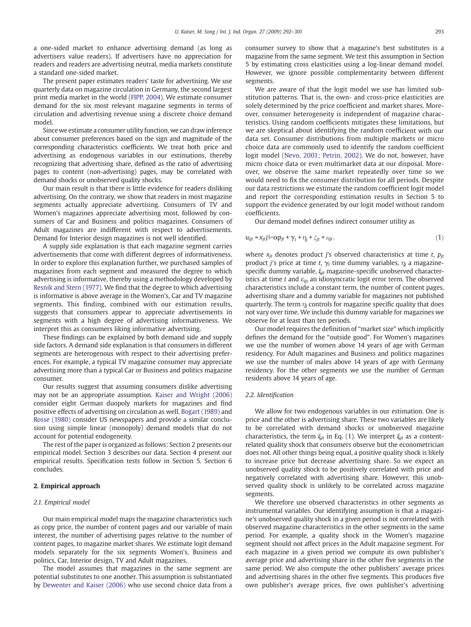a one-sided market to enhance advertising demand (as long as advertisers value readers). If advertisers have no appreciation for readers and readers are advertising neutral, media markets constitute a standard one-sided market.

The present paper estimates readers' taste for advertising. We use quarterly data on magazine circulation in Germany, the second largest print media market in the world ([FIPP, 2004\)](#page--1-0). We estimate consumer demand for the six most relevant magazine segments in terms of circulation and advertising revenue using a discrete choice demand model.

Since we estimate a consumer utility function, we can draw inference about consumer preferences based on the sign and magnitude of the corresponding characteristics coefficients. We treat both price and advertising as endogenous variables in our estimations, thereby recognizing that advertising share, defined as the ratio of advertising pages to content (non-advertising) pages, may be correlated with demand shocks or unobserved quality shocks.

Our main result is that there is little evidence for readers disliking advertising. On the contrary, we show that readers in most magazine segments actually appreciate advertising. Consumers of TV and Women's magazines appreciate advertising most, followed by consumers of Car and Business and politics magazines. Consumers of Adult magazines are indifferent with respect to advertisements. Demand for Interior design magazines is not well identified.

A supply side explanation is that each magazine segment carries advertisements that come with different degrees of informativeness. In order to explore this explanation further, we purchased samples of magazines from each segment and measured the degree to which advertising is informative, thereby using a methodology developed by [Resnik and Stern \(1977\)](#page--1-0). We find that the degree to which advertising is informative is above average in the Women's, Car and TV magazine segments. This finding, combined with our estimation results, suggests that consumers appear to appreciate advertisements in segments with a high degree of advertising informativeness. We interpret this as consumers liking informative advertising.

These findings can be explained by both demand side and supply side factors. A demand side explanation is that consumers in different segments are heterogenous with respect to their advertising preferences. For example, a typical TV magazine consumer may appreciate advertising more than a typical Car or Business and politics magazine consumer.

Our results suggest that assuming consumers dislike advertising may not be an appropriate assumption. [Kaiser and Wright \(2006\)](#page--1-0) consider eight German duopoly markets for magazines and find positive effects of advertising on circulation as well. [Bogart \(1989\)](#page--1-0) and [Rosse \(1980\)](#page--1-0) consider US newspapers and provide a similar conclusion using simple linear (monopoly) demand models that do not account for potential endogeneity.

The rest of the paper is organized as follows: Section 2 presents our empirical model. Section 3 describes our data. Section 4 present our empirical results. Specification tests follow in Section 5. Section 6 concludes.

### 2. Empirical approach

### 2.1. Empirical model

Our main empirical model maps the magazine characteristics such as copy price, the number of content pages and our variable of main interest, the number of advertising pages relative to the number of content pages, to magazine market shares. We estimate logit demand models separately for the six segments Women's, Business and politics, Car, Interior design, TV and Adult magazines.

The model assumes that magazines in the same segment are potential substitutes to one another. This assumption is substantiated by [Dewenter and Kaiser \(2006\)](#page--1-0) who use second choice data from a consumer survey to show that a magazine's best substitutes is a magazine from the same segment. We test this assumption in Section 5 by estimating cross elasticities using a log-linear demand model. However, we ignore possible complementarity between different segments.

We are aware of that the logit model we use has limited substitution patterns. That is, the own- and cross-price elasticities are solely determined by the price coefficient and market shares. Moreover, consumer heterogeneity is independent of magazine characteristics. Using random coefficients mitigates these limitations, but we are skeptical about identifying the random coefficient with our data set. Consumer distributions from multiple markets or micro choice data are commonly used to identify the random coefficient logit model ([Nevo, 2001; Petrin, 2002](#page--1-0)). We do not, however, have micro choice data or even multimarket data at our disposal. Moreover, we observe the same market repeatedly over time so we would need to fix the consumer distribution for all periods. Despite our data restrictions we estimate the random coefficient logit model and report the corresponding estimation results in Section 5 to support the evidence generated by our logit model without random coefficients.

Our demand model defines indirect consumer utility as

$$
u_{ijt} = x_{jt}\beta - \alpha p_{jt} + \gamma_t + \eta_j + \xi_{jt} + \varepsilon_{ijt},
$$
\n<sup>(1)</sup>

where  $x_{it}$  denotes product j's observed characteristics at time t,  $p_{it}$ product j's price at time t,  $\gamma_t$  time dummy variables,  $\eta_i$  a magazinespecific dummy variable,  $\xi_{it}$  magazine-specific unobserved characteristics at time t and  $\varepsilon_{ijt}$  an idiosyncratic logit error term. The observed characteristics include a constant term, the number of content pages, advertising share and a dummy variable for magazines not published quarterly. The term  $\eta_i$  controls for magazine specific quality that does not vary over time. We include this dummy variable for magazines we observe for at least than ten periods.

Our model requires the definition of "market size" which implicitly defines the demand for the "outside good". For Women's magazines we use the number of women above 14 years of age with German residency. For Adult magazines and Business and politics magazines we use the number of males above 14 years of age with Germany residency. For the other segments we use the number of German residents above 14 years of age.

### 2.2. Identification

We allow for two endogenous variables in our estimation. One is price and the other is advertising share. These two variables are likely to be correlated with demand shocks or unobserved magazine characteristics, the term  $\xi_{it}$  in Eq. (1). We interpret  $\xi_{it}$  as a contentrelated quality shock that consumers observe but the econometrician does not. All other things being equal, a positive quality shock is likely to increase price but decrease advertising share. So we expect an unobserved quality shock to be positively correlated with price and negatively correlated with advertising share. However, this unobserved quality shock is unlikely to be correlated across magazine segments.

We therefore use observed characteristics in other segments as instrumental variables. Our identifying assumption is that a magazine's unobserved quality shock in a given period is not correlated with observed magazine characteristics in the other segments in the same period. For example, a quality shock in the Women's magazine segment should not affect prices in the Adult magazine segment. For each magazine in a given period we compute its own publisher's average price and advertising share in the other five segments in the same period. We also compute the other publishers' average prices and advertising shares in the other five segments. This produces five own publisher's average prices, five own publisher's advertising